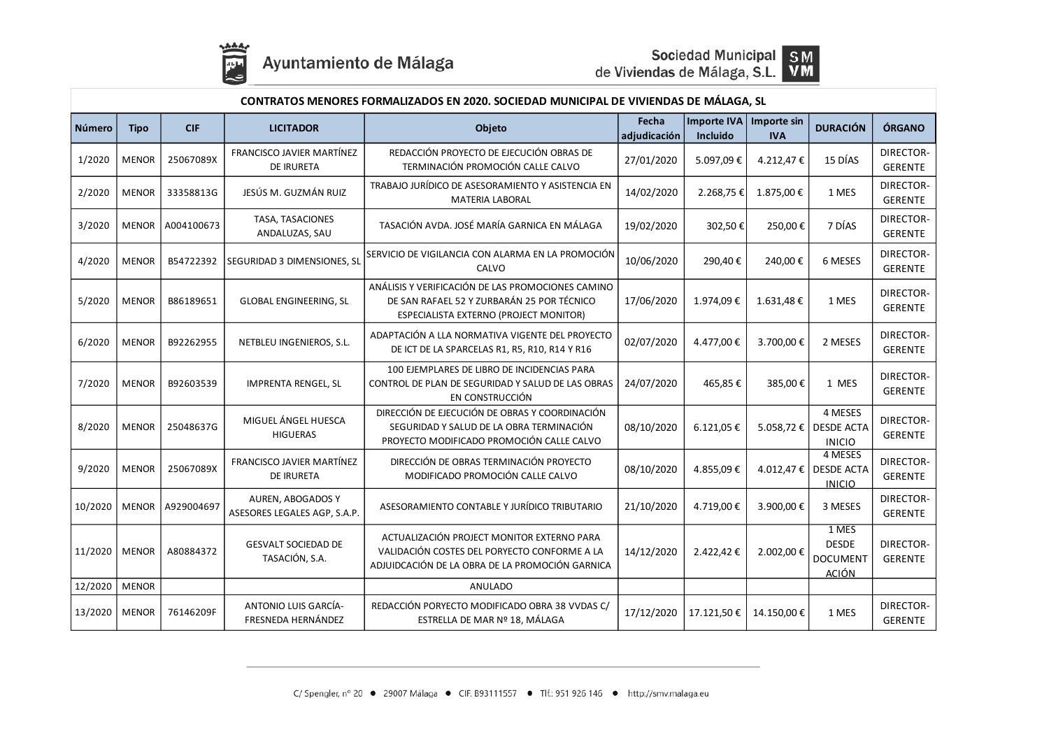



| CONTRATOS MENORES FORMALIZADOS EN 2020. SOCIEDAD MUNICIPAL DE VIVIENDAS DE MÁLAGA, SL |              |            |                                                       |                                                                                                                                               |                       |                                |                           |                                                          |                             |
|---------------------------------------------------------------------------------------|--------------|------------|-------------------------------------------------------|-----------------------------------------------------------------------------------------------------------------------------------------------|-----------------------|--------------------------------|---------------------------|----------------------------------------------------------|-----------------------------|
| Número                                                                                | <b>Tipo</b>  | <b>CIF</b> | <b>LICITADOR</b>                                      | Objeto                                                                                                                                        | Fecha<br>adjudicación | <b>Importe IVA</b><br>Incluido | Importe sin<br><b>IVA</b> | <b>DURACIÓN</b>                                          | ÓRGANO                      |
| 1/2020                                                                                | <b>MENOR</b> | 25067089X  | <b>FRANCISCO JAVIER MARTÍNEZ</b><br><b>DE IRURETA</b> | REDACCIÓN PROYECTO DE EJECUCIÓN OBRAS DE<br>TERMINACIÓN PROMOCIÓN CALLE CALVO                                                                 | 27/01/2020            | 5.097,09€                      | 4.212,47€                 | 15 DÍAS                                                  | DIRECTOR-<br><b>GERENTE</b> |
| 2/2020                                                                                | <b>MENOR</b> | 33358813G  | JESÚS M. GUZMÁN RUIZ                                  | TRABAJO JURÍDICO DE ASESORAMIENTO Y ASISTENCIA EN<br><b>MATERIA LABORAL</b>                                                                   | 14/02/2020            | 2.268,75€                      | 1.875,00€                 | 1 MES                                                    | DIRECTOR-<br><b>GERENTE</b> |
| 3/2020                                                                                | <b>MENOR</b> | A004100673 | TASA, TASACIONES<br>ANDALUZAS, SAU                    | TASACIÓN AVDA. JOSÉ MARÍA GARNICA EN MÁLAGA                                                                                                   | 19/02/2020            | 302,50€                        | 250,00€                   | 7 DÍAS                                                   | DIRECTOR-<br><b>GERENTE</b> |
| 4/2020                                                                                | <b>MENOR</b> | B54722392  | SEGURIDAD 3 DIMENSIONES, SL                           | SERVICIO DE VIGILANCIA CON ALARMA EN LA PROMOCIÓN<br>CALVO                                                                                    | 10/06/2020            | 290,40€                        | 240,00€                   | 6 MESES                                                  | DIRECTOR-<br><b>GERENTE</b> |
| 5/2020                                                                                | <b>MENOR</b> | B86189651  | <b>GLOBAL ENGINEERING, SL</b>                         | ANÁLISIS Y VERIFICACIÓN DE LAS PROMOCIONES CAMINO<br>DE SAN RAFAEL 52 Y ZURBARÁN 25 POR TÉCNICO<br>ESPECIALISTA EXTERNO (PROJECT MONITOR)     | 17/06/2020            | 1.974,09€                      | 1.631,48€                 | 1 MES                                                    | DIRECTOR-<br><b>GERENTE</b> |
| 6/2020                                                                                | <b>MENOR</b> | B92262955  | NETBLEU INGENIEROS, S.L.                              | ADAPTACIÓN A LLA NORMATIVA VIGENTE DEL PROYECTO<br>DE ICT DE LA SPARCELAS R1, R5, R10, R14 Y R16                                              | 02/07/2020            | 4.477,00€                      | 3.700,00€                 | 2 MESES                                                  | DIRECTOR-<br><b>GERENTE</b> |
| 7/2020                                                                                | <b>MENOR</b> | B92603539  | <b>IMPRENTA RENGEL, SL</b>                            | 100 EJEMPLARES DE LIBRO DE INCIDENCIAS PARA<br>CONTROL DE PLAN DE SEGURIDAD Y SALUD DE LAS OBRAS<br>EN CONSTRUCCIÓN                           | 24/07/2020            | 465,85€                        | 385,00€                   | 1 MES                                                    | DIRECTOR-<br><b>GERENTE</b> |
| 8/2020                                                                                | <b>MENOR</b> | 25048637G  | MIGUEL ÁNGEL HUESCA<br><b>HIGUERAS</b>                | DIRECCIÓN DE EJECUCIÓN DE OBRAS Y COORDINACIÓN<br>SEGURIDAD Y SALUD DE LA OBRA TERMINACIÓN<br>PROYECTO MODIFICADO PROMOCIÓN CALLE CALVO       | 08/10/2020            | 6.121,05€                      | 5.058,72€                 | 4 MESES<br><b>DESDE ACTA</b><br><b>INICIO</b>            | DIRECTOR-<br><b>GERENTE</b> |
| 9/2020                                                                                | <b>MENOR</b> | 25067089X  | FRANCISCO JAVIER MARTÍNEZ<br><b>DE IRURETA</b>        | DIRECCIÓN DE OBRAS TERMINACIÓN PROYECTO<br>MODIFICADO PROMOCIÓN CALLE CALVO                                                                   | 08/10/2020            | 4.855,09€                      | 4.012,47€                 | 4 MESES<br><b>DESDE ACTA</b><br><b>INICIO</b>            | DIRECTOR-<br><b>GERENTE</b> |
| 10/2020                                                                               | <b>MENOR</b> | A929004697 | AUREN, ABOGADOS Y<br>ASESORES LEGALES AGP, S.A.P.     | ASESORAMIENTO CONTABLE Y JURÍDICO TRIBUTARIO                                                                                                  | 21/10/2020            | 4.719,00€                      | 3.900,00€                 | 3 MESES                                                  | DIRECTOR-<br><b>GERENTE</b> |
| 11/2020                                                                               | <b>MENOR</b> | A80884372  | <b>GESVALT SOCIEDAD DE</b><br>TASACIÓN, S.A.          | ACTUALIZACIÓN PROJECT MONITOR EXTERNO PARA<br>VALIDACIÓN COSTES DEL PORYECTO CONFORME A LA<br>ADJUIDCACIÓN DE LA OBRA DE LA PROMOCIÓN GARNICA | 14/12/2020            | 2.422,42€                      | 2.002,00 €                | 1 MES<br><b>DESDE</b><br><b>DOCUMENT</b><br><b>ACIÓN</b> | DIRECTOR-<br><b>GERENTE</b> |
| 12/2020                                                                               | <b>MENOR</b> |            |                                                       | <b>ANULADO</b>                                                                                                                                |                       |                                |                           |                                                          |                             |
| 13/2020                                                                               | <b>MENOR</b> | 76146209F  | ANTONIO LUIS GARCÍA-<br>FRESNEDA HERNÁNDEZ            | REDACCIÓN PORYECTO MODIFICADO OBRA 38 VVDAS C/<br>ESTRELLA DE MAR Nº 18, MÁLAGA                                                               | 17/12/2020            | 17.121,50€                     | 14.150,00€                | 1 MES                                                    | DIRECTOR-<br>GERENTE        |